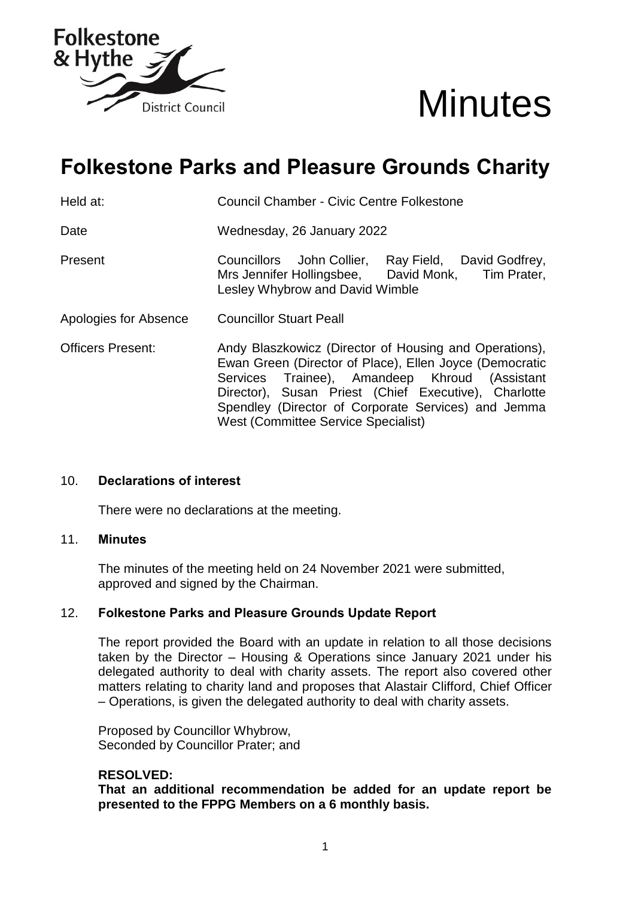



# **Folkestone Parks and Pleasure Grounds Charity**

Held at: Council Chamber - Civic Centre Folkestone

Date Wednesday, 26 January 2022

Present Councillors John Collier, Ray Field, David Godfrey, Mrs Jennifer Hollingsbee, David Monk, Tim Prater, Lesley Whybrow and David Wimble

- Apologies for Absence Councillor Stuart Peall
- Officers Present: Andy Blaszkowicz (Director of Housing and Operations), Ewan Green (Director of Place), Ellen Joyce (Democratic Services Trainee), Amandeep Khroud (Assistant Director), Susan Priest (Chief Executive), Charlotte Spendley (Director of Corporate Services) and Jemma West (Committee Service Specialist)

### 10. **Declarations of interest**

There were no declarations at the meeting.

#### 11. **Minutes**

The minutes of the meeting held on 24 November 2021 were submitted, approved and signed by the Chairman.

### 12. **Folkestone Parks and Pleasure Grounds Update Report**

The report provided the Board with an update in relation to all those decisions taken by the Director – Housing & Operations since January 2021 under his delegated authority to deal with charity assets. The report also covered other matters relating to charity land and proposes that Alastair Clifford, Chief Officer – Operations, is given the delegated authority to deal with charity assets.

Proposed by Councillor Whybrow, Seconded by Councillor Prater; and

#### **RESOLVED:**

**That an additional recommendation be added for an update report be presented to the FPPG Members on a 6 monthly basis.**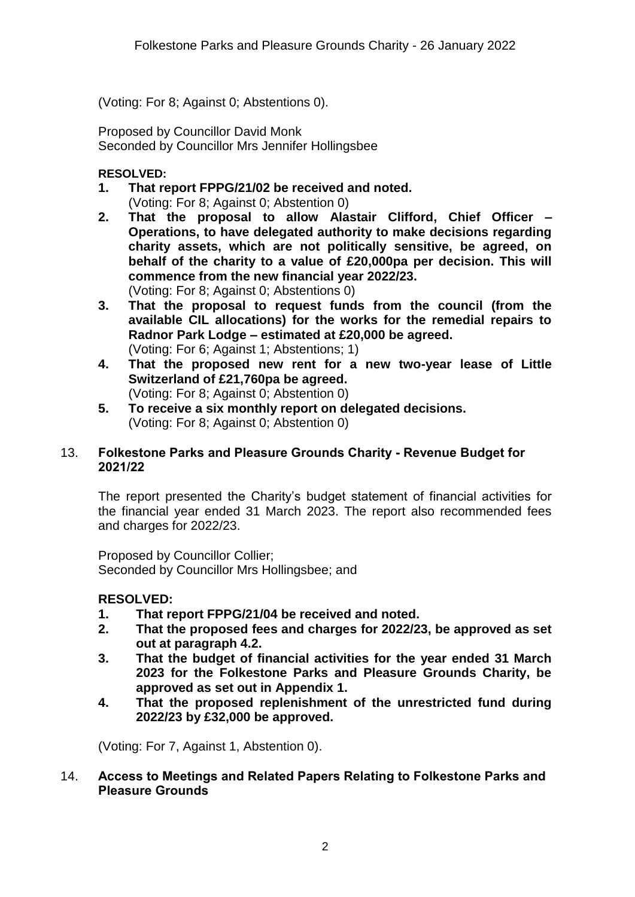(Voting: For 8; Against 0; Abstentions 0).

Proposed by Councillor David Monk Seconded by Councillor Mrs Jennifer Hollingsbee

# **RESOLVED:**

- **1. That report FPPG/21/02 be received and noted.** (Voting: For 8; Against 0; Abstention 0)
- **2. That the proposal to allow Alastair Clifford, Chief Officer – Operations, to have delegated authority to make decisions regarding charity assets, which are not politically sensitive, be agreed, on behalf of the charity to a value of £20,000pa per decision. This will commence from the new financial year 2022/23.** (Voting: For 8; Against 0; Abstentions 0)
- **3. That the proposal to request funds from the council (from the available CIL allocations) for the works for the remedial repairs to Radnor Park Lodge – estimated at £20,000 be agreed.**  (Voting: For 6; Against 1; Abstentions; 1)
- **4. That the proposed new rent for a new two-year lease of Little Switzerland of £21,760pa be agreed.** (Voting: For 8; Against 0; Abstention 0)
- **5. To receive a six monthly report on delegated decisions.** (Voting: For 8; Against 0; Abstention 0)

# 13. **Folkestone Parks and Pleasure Grounds Charity - Revenue Budget for 2021/22**

The report presented the Charity's budget statement of financial activities for the financial year ended 31 March 2023. The report also recommended fees and charges for 2022/23.

Proposed by Councillor Collier; Seconded by Councillor Mrs Hollingsbee; and

# **RESOLVED:**

- **1. That report FPPG/21/04 be received and noted.**
- **2. That the proposed fees and charges for 2022/23, be approved as set out at paragraph 4.2.**
- **3. That the budget of financial activities for the year ended 31 March 2023 for the Folkestone Parks and Pleasure Grounds Charity, be approved as set out in Appendix 1.**
- **4. That the proposed replenishment of the unrestricted fund during 2022/23 by £32,000 be approved.**

(Voting: For 7, Against 1, Abstention 0).

# 14. **Access to Meetings and Related Papers Relating to Folkestone Parks and Pleasure Grounds**